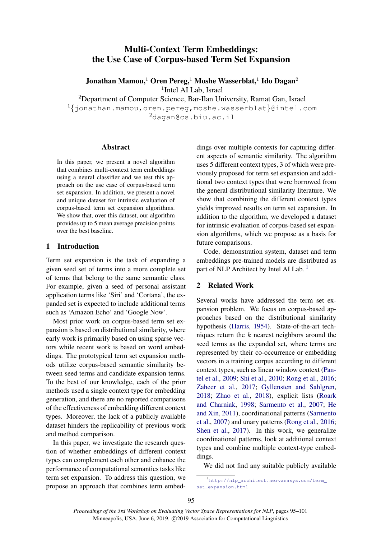# <span id="page-0-0"></span>Multi-Context Term Embeddings: the Use Case of Corpus-based Term Set Expansion

Jonathan Mamou, $^1$  Oren Pereg, $^1$  Moshe Wasserblat, $^1$  Ido Dagan $^2$ <sup>1</sup>Intel AI Lab, Israel

<sup>2</sup>Department of Computer Science, Bar-Ilan University, Ramat Gan, Israel

<sup>1</sup>{jonathan.mamou,oren.pereg,moshe.wasserblat}@intel.com <sup>2</sup>dagan@cs.biu.ac.il

#### Abstract

In this paper, we present a novel algorithm that combines multi-context term embeddings using a neural classifier and we test this approach on the use case of corpus-based term set expansion. In addition, we present a novel and unique dataset for intrinsic evaluation of corpus-based term set expansion algorithms. We show that, over this dataset, our algorithm provides up to 5 mean average precision points over the best baseline.

#### 1 Introduction

Term set expansion is the task of expanding a given seed set of terms into a more complete set of terms that belong to the same semantic class. For example, given a seed of personal assistant application terms like 'Siri' and 'Cortana', the expanded set is expected to include additional terms such as 'Amazon Echo' and 'Google Now'.

Most prior work on corpus-based term set expansion is based on distributional similarity, where early work is primarily based on using sparse vectors while recent work is based on word embeddings. The prototypical term set expansion methods utilize corpus-based semantic similarity between seed terms and candidate expansion terms. To the best of our knowledge, each of the prior methods used a single context type for embedding generation, and there are no reported comparisons of the effectiveness of embedding different context types. Moreover, the lack of a publicly available dataset hinders the replicability of previous work and method comparison.

In this paper, we investigate the research question of whether embeddings of different context types can complement each other and enhance the performance of computational semantics tasks like term set expansion. To address this question, we propose an approach that combines term embed-

dings over multiple contexts for capturing different aspects of semantic similarity. The algorithm uses 5 different context types, 3 of which were previously proposed for term set expansion and additional two context types that were borrowed from the general distributional similarity literature. We show that combining the different context types yields improved results on term set expansion. In addition to the algorithm, we developed a dataset for intrinsic evaluation of corpus-based set expansion algorithms, which we propose as a basis for future comparisons.

Code, demonstration system, dataset and term embeddings pre-trained models are distributed as part of NLP Architect by Intel AI Lab.<sup>1</sup>

#### <span id="page-0-1"></span>2 Related Work

Several works have addressed the term set expansion problem. We focus on corpus-based approaches based on the distributional similarity hypothesis [\(Harris,](#page-5-0) [1954\)](#page-5-0). State-of-the-art techniques return the  $k$  nearest neighbors around the seed terms as the expanded set, where terms are represented by their co-occurrence or embedding vectors in a training corpus according to different context types, such as linear window context [\(Pan](#page-5-1)[tel et al.,](#page-5-1) [2009;](#page-5-1) [Shi et al.,](#page-6-0) [2010;](#page-6-0) [Rong et al.,](#page-6-1) [2016;](#page-6-1) [Zaheer et al.,](#page-6-2) [2017;](#page-6-2) [Gyllensten and Sahlgren,](#page-5-2) [2018;](#page-5-2) [Zhao et al.,](#page-6-3) [2018\)](#page-6-3), explicit lists [\(Roark](#page-6-4) [and Charniak,](#page-6-4) [1998;](#page-6-4) [Sarmento et al.,](#page-6-5) [2007;](#page-6-5) [He](#page-5-3) [and Xin,](#page-5-3) [2011\)](#page-5-3), coordinational patterns [\(Sarmento](#page-6-5) [et al.,](#page-6-5) [2007\)](#page-6-5) and unary patterns [\(Rong et al.,](#page-6-1) [2016;](#page-6-1) [Shen et al.,](#page-6-6) [2017\)](#page-6-6). In this work, we generalize coordinational patterns, look at additional context types and combine multiple context-type embeddings.

We did not find any suitable publicly available

<sup>1</sup> [http://nlp\\_architect.nervanasys.com/term\\_](http://nlp_architect.nervanasys.com/term_set_expansion.html) [set\\_expansion.html](http://nlp_architect.nervanasys.com/term_set_expansion.html)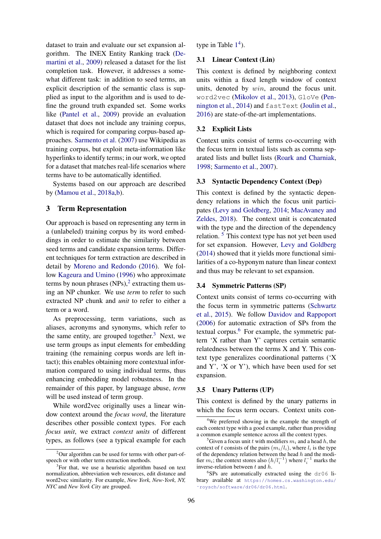dataset to train and evaluate our set expansion algorithm. The INEX Entity Ranking track [\(De](#page-5-4)[martini et al.,](#page-5-4) [2009\)](#page-5-4) released a dataset for the list completion task. However, it addresses a somewhat different task: in addition to seed terms, an explicit description of the semantic class is supplied as input to the algorithm and is used to define the ground truth expanded set. Some works like [\(Pantel et al.,](#page-5-1) [2009\)](#page-5-1) provide an evaluation dataset that does not include any training corpus, which is required for comparing corpus-based approaches. [Sarmento et al.](#page-6-5) [\(2007\)](#page-6-5) use Wikipedia as training corpus, but exploit meta-information like hyperlinks to identify terms; in our work, we opted for a dataset that matches real-life scenarios where terms have to be automatically identified.

Systems based on our approach are described by [\(Mamou et al.,](#page-5-5) [2018a](#page-5-5)[,b\)](#page-5-6).

# 3 Term Representation

Our approach is based on representing any term in a (unlabeled) training corpus by its word embeddings in order to estimate the similarity between seed terms and candidate expansion terms. Different techniques for term extraction are described in detail by [Moreno and Redondo](#page-5-7) [\(2016\)](#page-5-7). We follow [Kageura and Umino](#page-5-8) [\(1996\)](#page-5-8) who approximate terms by noun phrases  $(NPs)$ ,<sup>[2](#page-0-0)</sup> extracting them using an NP chunker. We use *term* to refer to such extracted NP chunk and *unit* to refer to either a term or a word.

As preprocessing, term variations, such as aliases, acronyms and synonyms, which refer to the same entity, are grouped together.<sup>[3](#page-0-0)</sup> Next, we use term groups as input elements for embedding training (the remaining corpus words are left intact); this enables obtaining more contextual information compared to using individual terms, thus enhancing embedding model robustness. In the remainder of this paper, by language abuse, *term* will be used instead of term group.

While word2vec originally uses a linear window context around the *focus word*, the literature describes other possible context types. For each *focus unit*, we extract *context units* of different types, as follows (see a typical example for each type in Table  $1<sup>4</sup>$  $1<sup>4</sup>$  $1<sup>4</sup>$  $1<sup>4</sup>$ ).

### 3.1 Linear Context (Lin)

This context is defined by neighboring context units within a fixed length window of context units, denoted by win, around the focus unit. word2vec [\(Mikolov et al.,](#page-5-9) [2013\)](#page-5-9), GloVe [\(Pen](#page-5-10)[nington et al.,](#page-5-10) [2014\)](#page-5-10) and fastText [\(Joulin et al.,](#page-5-11) [2016\)](#page-5-11) are state-of-the-art implementations.

#### 3.2 Explicit Lists

Context units consist of terms co-occurring with the focus term in textual lists such as comma separated lists and bullet lists [\(Roark and Charniak,](#page-6-4) [1998;](#page-6-4) [Sarmento et al.,](#page-6-5) [2007\)](#page-6-5).

#### 3.3 Syntactic Dependency Context (Dep)

This context is defined by the syntactic dependency relations in which the focus unit participates [\(Levy and Goldberg,](#page-5-12) [2014;](#page-5-12) [MacAvaney and](#page-5-13) [Zeldes,](#page-5-13) [2018\)](#page-5-13). The context unit is concatenated with the type and the direction of the dependency relation. [5](#page-0-0) This context type has not yet been used for set expansion. However, [Levy and Goldberg](#page-5-12) [\(2014\)](#page-5-12) showed that it yields more functional similarities of a co-hyponym nature than linear context and thus may be relevant to set expansion.

#### 3.4 Symmetric Patterns (SP)

Context units consist of terms co-occurring with the focus term in symmetric patterns [\(Schwartz](#page-6-7) [et al.,](#page-6-7) [2015\)](#page-6-7). We follow [Davidov and Rappoport](#page-5-14) [\(2006\)](#page-5-14) for automatic extraction of SPs from the textual corpus. $6$  For example, the symmetric pattern 'X rather than Y' captures certain semantic relatedness between the terms X and Y. This context type generalizes coordinational patterns ('X and  $Y'$ ,  $'X$  or  $Y'$ ), which have been used for set expansion.

#### 3.5 Unary Patterns (UP)

This context is defined by the unary patterns in which the focus term occurs. Context units con-

<sup>&</sup>lt;sup>2</sup>Our algorithm can be used for terms with other part-ofspeech or with other term extraction methods.

<sup>&</sup>lt;sup>3</sup>For that, we use a heuristic algorithm based on text normalization, abbreviation web resources, edit distance and word2vec similarity. For example, *New York, New-York, NY, NYC* and *New York City* are grouped.

<sup>&</sup>lt;sup>4</sup>We preferred showing in the example the strength of each context type with a good example, rather than providing a common example sentence across all the context types.

<sup>&</sup>lt;sup>5</sup>Given a focus unit t with modifiers  $m_i$  and a head h, the context of t consists of the pairs  $(m_i/l_i)$ , where  $l_i$  is the type of the dependency relation between the head  $h$  and the modifier  $m_i$ ; the context stores also  $(h/l_i^{-1})$  where  $l_i^{-1}$  marks the inverse-relation between t and h.

<sup>6</sup> SPs are automatically extracted using the dr06 library available at [https://homes.cs.washington.edu/](https://homes.cs.washington.edu/~roysch/software/dr06/dr06.html) [˜roysch/software/dr06/dr06.html](https://homes.cs.washington.edu/~roysch/software/dr06/dr06.html).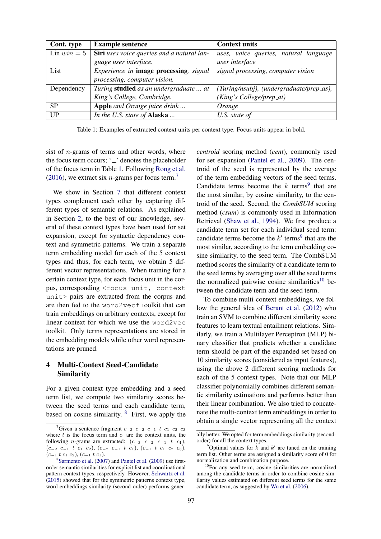<span id="page-2-0"></span>

| Cont. type           | <b>Example sentence</b>                           | <b>Context units</b>                     |
|----------------------|---------------------------------------------------|------------------------------------------|
| $\text{Lin }win = 5$ | <b>Siri</b> uses voice queries and a natural lan- | uses, voice queries, natural language    |
|                      | guage user interface.                             | user interface                           |
| List                 | <i>Experience in image processing, signal</i>     | signal processing, computer vision       |
|                      | processing, computer vision.                      |                                          |
| Dependency           | Turing studied as an undergraduate  at            | (Turing/nsubj), (undergraduate/prep_as), |
|                      | King's College, Cambridge.                        | (King's College/prep_at)                 |
| <b>SP</b>            | <b>Apple</b> and Orange juice drink               | Orange                                   |
| UP                   | In the U.S. state of Alaska                       | U.S. state of $\overline{\phantom{a}}$   |

Table 1: Examples of extracted context units per context type. Focus units appear in bold.

sist of  $n$ -grams of terms and other words, where the focus term occurs;  $\angle$   $\angle$  denotes the placeholder of the focus term in Table [1.](#page-2-0) Following [Rong et al.](#page-6-1) [\(2016\)](#page-6-1), we extract six *n*-grams per focus term.<sup>[7](#page-0-0)</sup>

We show in Section [7](#page-4-0) that different context types complement each other by capturing different types of semantic relations. As explained in Section [2,](#page-0-1) to the best of our knowledge, several of these context types have been used for set expansion, except for syntactic dependency context and symmetric patterns. We train a separate term embedding model for each of the 5 context types and thus, for each term, we obtain 5 different vector representations. When training for a certain context type, for each focus unit in the corpus, corresponding <focus unit, context unit> pairs are extracted from the corpus and are then fed to the word2vecf toolkit that can train embeddings on arbitrary contexts, except for linear context for which we use the word2vec toolkit. Only terms representations are stored in the embedding models while other word representations are pruned.

# <span id="page-2-1"></span>4 Multi-Context Seed-Candidate Similarity

For a given context type embedding and a seed term list, we compute two similarity scores between the seed terms and each candidate term, based on cosine similarity.  $8$  First, we apply the

*centroid* scoring method (*cent*), commonly used for set expansion [\(Pantel et al.,](#page-5-1) [2009\)](#page-5-1). The centroid of the seed is represented by the average of the term embedding vectors of the seed terms. Candidate terms become the  $k$  terms<sup>[9](#page-0-0)</sup> that are the most similar, by cosine similarity, to the centroid of the seed. Second, the *CombSUM* scoring method (*csum*) is commonly used in Information Retrieval [\(Shaw et al.,](#page-6-8) [1994\)](#page-6-8). We first produce a candidate term set for each individual seed term: candidate terms become the  $k'$  terms<sup>[9](#page-0-0)</sup> that are the most similar, according to the term embedding cosine similarity, to the seed term. The CombSUM method scores the similarity of a candidate term to the seed terms by averaging over all the seed terms the normalized pairwise cosine similarities $10$  between the candidate term and the seed term.

To combine multi-context embeddings, we follow the general idea of [Berant et al.](#page-5-15) [\(2012\)](#page-5-15) who train an SVM to combine different similarity score features to learn textual entailment relations. Similarly, we train a Multilayer Perceptron (MLP) binary classifier that predicts whether a candidate term should be part of the expanded set based on 10 similarity scores (considered as input features), using the above 2 different scoring methods for each of the 5 context types. Note that our MLP classifier polynomially combines different semantic similarity estimations and performs better than their linear combination. We also tried to concatenate the multi-context term embeddings in order to obtain a single vector representing all the context

<sup>&</sup>lt;sup>7</sup>Given a sentence fragment  $c_{-3}$   $c_{-2}$   $c_{-1}$  t  $c_1$   $c_2$   $c_3$ where  $t$  is the focus term and  $c_i$  are the context units, the following *n*-grams are extracted:  $(c_{-3}$   $c_{-2}$   $c_{-1}$   $t$   $c_1$ ),  $(c_{-2} c_{-1} t c_1 c_2), (c_{-2} c_{-1} t c_1), (c_{-1} t c_1 c_2 c_3),$  $(c_{-1} t c_1 c_2), (c_{-1} t c_1).$ 

<sup>8</sup> [Sarmento et al.](#page-6-5) [\(2007\)](#page-6-5) and [Pantel et al.](#page-5-1) [\(2009\)](#page-5-1) use firstorder semantic similarities for explicit list and coordinational pattern context types, respectively. However, [Schwartz et al.](#page-6-7) [\(2015\)](#page-6-7) showed that for the symmetric patterns context type, word embeddings similarity (second-order) performs gener-

ally better. We opted for term embeddings similarity (secondorder) for all the context types.

<sup>&</sup>lt;sup>9</sup>Optimal values for  $k$  and  $k'$  are tuned on the training term list. Other terms are assigned a similarity score of 0 for normalization and combination purpose.

 $10$ For any seed term, cosine similarities are normalized among the candidate terms in order to combine cosine similarity values estimated on different seed terms for the same candidate term, as suggested by [Wu et al.](#page-6-9) [\(2006\)](#page-6-9).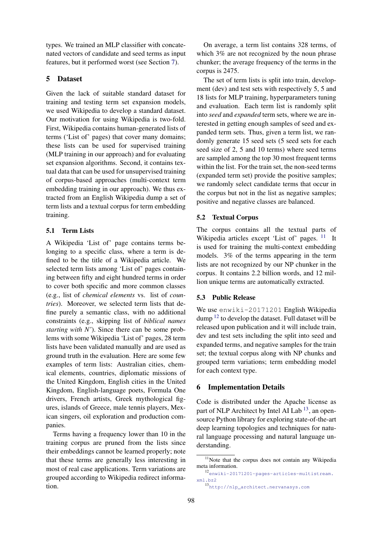types. We trained an MLP classifier with concatenated vectors of candidate and seed terms as input features, but it performed worst (see Section [7\)](#page-4-0).

### 5 Dataset

Given the lack of suitable standard dataset for training and testing term set expansion models, we used Wikipedia to develop a standard dataset. Our motivation for using Wikipedia is two-fold. First, Wikipedia contains human-generated lists of terms ('List of' pages) that cover many domains; these lists can be used for supervised training (MLP training in our approach) and for evaluating set expansion algorithms. Second, it contains textual data that can be used for unsupervised training of corpus-based approaches (multi-context term embedding training in our approach). We thus extracted from an English Wikipedia dump a set of term lists and a textual corpus for term embedding training.

### 5.1 Term Lists

A Wikipedia 'List of' page contains terms belonging to a specific class, where a term is defined to be the title of a Wikipedia article. We selected term lists among 'List of' pages containing between fifty and eight hundred terms in order to cover both specific and more common classes (e.g., list of *chemical elements* vs. list of *countries*). Moreover, we selected term lists that define purely a semantic class, with no additional constraints (e.g., skipping list of *biblical names starting with N'*). Since there can be some problems with some Wikipedia 'List of' pages, 28 term lists have been validated manually and are used as ground truth in the evaluation. Here are some few examples of term lists: Australian cities, chemical elements, countries, diplomatic missions of the United Kingdom, English cities in the United Kingdom, English-language poets, Formula One drivers, French artists, Greek mythological figures, islands of Greece, male tennis players, Mexican singers, oil exploration and production companies.

Terms having a frequency lower than 10 in the training corpus are pruned from the lists since their embeddings cannot be learned properly; note that these terms are generally less interesting in most of real case applications. Term variations are grouped according to Wikipedia redirect information.

On average, a term list contains 328 terms, of which 3% are not recognized by the noun phrase chunker; the average frequency of the terms in the corpus is 2475.

The set of term lists is split into train, development (dev) and test sets with respectively 5, 5 and 18 lists for MLP training, hyperparameters tuning and evaluation. Each term list is randomly split into *seed* and *expanded* term sets, where we are interested in getting enough samples of seed and expanded term sets. Thus, given a term list, we randomly generate 15 seed sets (5 seed sets for each seed size of 2, 5 and 10 terms) where seed terms are sampled among the top 30 most frequent terms within the list. For the train set, the non-seed terms (expanded term set) provide the positive samples; we randomly select candidate terms that occur in the corpus but not in the list as negative samples; positive and negative classes are balanced.

# 5.2 Textual Corpus

The corpus contains all the textual parts of Wikipedia articles except 'List of' pages.  $11$  It is used for training the multi-context embedding models. 3% of the terms appearing in the term lists are not recognized by our NP chunker in the corpus. It contains 2.2 billion words, and 12 million unique terms are automatically extracted.

### 5.3 Public Release

We use enwiki-20171201 English Wikipedia dump  $12$  to develop the dataset. Full dataset will be released upon publication and it will include train, dev and test sets including the split into seed and expanded terms, and negative samples for the train set; the textual corpus along with NP chunks and grouped term variations; term embedding model for each context type.

### 6 Implementation Details

Code is distributed under the Apache license as part of NLP Architect by Intel AI Lab  $^{13}$  $^{13}$  $^{13}$ , an opensource Python library for exploring state-of-the-art deep learning topologies and techniques for natural language processing and natural language understanding.

<sup>&</sup>lt;sup>11</sup>Note that the corpus does not contain any Wikipedia meta information.

<sup>12</sup>[enwiki-20171201-pages-articles-multistream.](enwiki-20171201-pages-articles-multistream.xml.bz2) [xml.bz2](enwiki-20171201-pages-articles-multistream.xml.bz2)

<sup>13</sup>[http://nlp\\_architect.nervanasys.com](http://nlp_architect.nervanasys.com)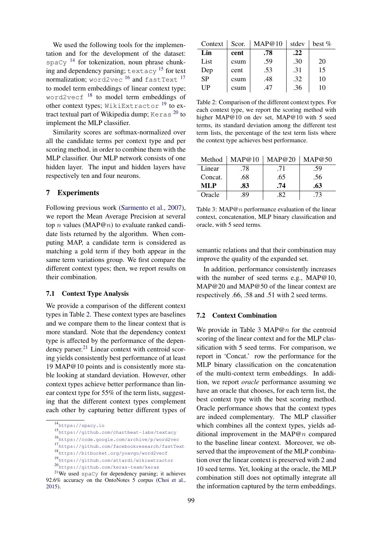We used the following tools for the implementation and for the development of the dataset:  $spaCv$  <sup>[14](#page-0-0)</sup> for tokenization, noun phrase chunking and dependency parsing; textacy [15](#page-0-0) for text normalization; word2vec <sup>[16](#page-0-0)</sup> and fastText <sup>[17](#page-0-0)</sup> to model term embeddings of linear context type; word2vecf<sup>[18](#page-0-0)</sup> to model term embeddings of other context types; WikiExtractor  $^{19}$  $^{19}$  $^{19}$  to extract textual part of Wikipedia dump; Keras  $^{20}$  $^{20}$  $^{20}$  to implement the MLP classifier.

Similarity scores are softmax-normalized over all the candidate terms per context type and per scoring method, in order to combine them with the MLP classifier. Our MLP network consists of one hidden layer. The input and hidden layers have respectively ten and four neurons.

### <span id="page-4-0"></span>7 Experiments

Following previous work [\(Sarmento et al.,](#page-6-5) [2007\)](#page-6-5), we report the Mean Average Precision at several top *n* values (MAP@*n*) to evaluate ranked candidate lists returned by the algorithm. When computing MAP, a candidate term is considered as matching a gold term if they both appear in the same term variations group. We first compare the different context types; then, we report results on their combination.

#### 7.1 Context Type Analysis

We provide a comparison of the different context types in Table [2.](#page-4-1) These context types are baselines and we compare them to the linear context that is more standard. Note that the dependency context type is affected by the performance of the depen-dency parser.<sup>[21](#page-0-0)</sup> Linear context with centroid scoring yields consistently best performance of at least 19 MAP@10 points and is consistently more stable looking at standard deviation. However, other context types achieve better performance than linear context type for 55% of the term lists, suggesting that the different context types complement each other by capturing better different types of

<span id="page-4-1"></span>

| Context   | Scor. | MAP@10 | stdev | best $\%$ |
|-----------|-------|--------|-------|-----------|
| Lin       | cent  | .78    | .22   |           |
| List      | csum  | .59    | .30   | 20        |
| Dep       | cent  | .53    | .31   | 15        |
| <b>SP</b> | csum  | .48    | .32   | 10        |
| UP        | csum  | .47    | .36   | 10        |

Table 2: Comparison of the different context types. For each context type, we report the scoring method with higher MAP@10 on dev set, MAP@10 with 5 seed terms, its standard deviation among the different test term lists, the percentage of the test term lists where the context type achieves best performance.

<span id="page-4-2"></span>

| Method  | MAP@10 | MAP@20 | MAP@50 |
|---------|--------|--------|--------|
| Linear  | .78    | .71    | .59    |
| Concat. | .68    | .65    | .56    |
| ML P    | .83    | .74    | .63    |
| Oracle  | .89    | .82    | .73    |

Table 3: MAP@n performance evaluation of the linear context, concatenation, MLP binary classification and oracle, with 5 seed terms.

semantic relations and that their combination may improve the quality of the expanded set.

In addition, performance consistently increases with the number of seed terms e.g., MAP@10, MAP@20 and MAP@50 of the linear context are respectively .66, .58 and .51 with 2 seed terms.

#### 7.2 Context Combination

We provide in Table [3](#page-4-2) MAP@n for the centroid scoring of the linear context and for the MLP classification with 5 seed terms. For comparison, we report in 'Concat.' row the performance for the MLP binary classification on the concatenation of the multi-context term embeddings. In addition, we report *oracle* performance assuming we have an oracle that chooses, for each term list, the best context type with the best scoring method. Oracle performance shows that the context types are indeed complementary. The MLP classifier which combines all the context types, yields additional improvement in the MAP@n compared to the baseline linear context. Moreover, we observed that the improvement of the MLP combination over the linear context is preserved with 2 and 10 seed terms. Yet, looking at the oracle, the MLP combination still does not optimally integrate all the information captured by the term embeddings.

<sup>14</sup><https://spacy.io>

<sup>15</sup><https://github.com/chartbeat-labs/textacy>

<sup>16</sup><https://code.google.com/archive/p/word2vec>

<sup>17</sup><https://github.com/facebookresearch/fastText>

<sup>18</sup><https://bitbucket.org/yoavgo/word2vecf>

<sup>19</sup><https://github.com/attardi/wikiextractor>

<sup>20</sup><https://github.com/keras-team/keras>

<sup>&</sup>lt;sup>21</sup>We used spaCy for dependency parsing; it achieves 92.6% accuracy on the OntoNotes 5 corpus [\(Choi et al.,](#page-5-16) [2015\)](#page-5-16).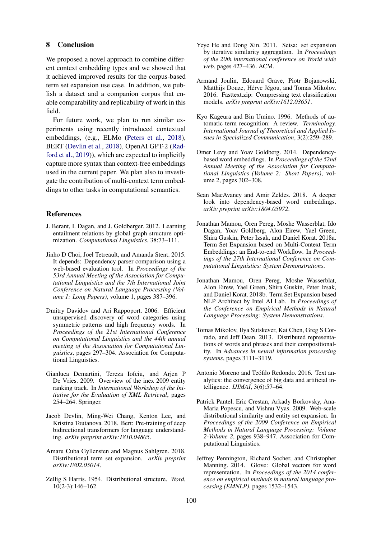#### 8 Conclusion

We proposed a novel approach to combine different context embedding types and we showed that it achieved improved results for the corpus-based term set expansion use case. In addition, we publish a dataset and a companion corpus that enable comparability and replicability of work in this field.

For future work, we plan to run similar experiments using recently introduced contextual embeddings, (e.g., ELMo [\(Peters et al.,](#page-6-10) [2018\)](#page-6-10), BERT [\(Devlin et al.,](#page-5-17) [2018\)](#page-5-17), OpenAI GPT-2 [\(Rad](#page-6-11)[ford et al.,](#page-6-11) [2019\)](#page-6-11)), which are expected to implicitly capture more syntax than context-free embeddings used in the current paper. We plan also to investigate the contribution of multi-context term embeddings to other tasks in computational semantics.

#### References

- <span id="page-5-15"></span>J. Berant, I. Dagan, and J. Goldberger. 2012. Learning entailment relations by global graph structure optimization. *Computational Linguistics*, 38:73–111.
- <span id="page-5-16"></span>Jinho D Choi, Joel Tetreault, and Amanda Stent. 2015. It depends: Dependency parser comparison using a web-based evaluation tool. In *Proceedings of the 53rd Annual Meeting of the Association for Computational Linguistics and the 7th International Joint Conference on Natural Language Processing (Volume 1: Long Papers)*, volume 1, pages 387–396.
- <span id="page-5-14"></span>Dmitry Davidov and Ari Rappoport. 2006. Efficient unsupervised discovery of word categories using symmetric patterns and high frequency words. In *Proceedings of the 21st International Conference on Computational Linguistics and the 44th annual meeting of the Association for Computational Linguistics*, pages 297–304. Association for Computational Linguistics.
- <span id="page-5-4"></span>Gianluca Demartini, Tereza Iofciu, and Arjen P De Vries. 2009. Overview of the inex 2009 entity ranking track. In *International Workshop of the Initiative for the Evaluation of XML Retrieval*, pages 254–264. Springer.
- <span id="page-5-17"></span>Jacob Devlin, Ming-Wei Chang, Kenton Lee, and Kristina Toutanova. 2018. Bert: Pre-training of deep bidirectional transformers for language understanding. *arXiv preprint arXiv:1810.04805*.
- <span id="page-5-2"></span>Amaru Cuba Gyllensten and Magnus Sahlgren. 2018. Distributional term set expansion. *arXiv preprint arXiv:1802.05014*.
- <span id="page-5-0"></span>Zellig S Harris. 1954. Distributional structure. *Word*, 10(2-3):146–162.
- <span id="page-5-3"></span>Yeye He and Dong Xin. 2011. Seisa: set expansion by iterative similarity aggregation. In *Proceedings of the 20th international conference on World wide web*, pages 427–436. ACM.
- <span id="page-5-11"></span>Armand Joulin, Edouard Grave, Piotr Bojanowski, Matthijs Douze, Hérve Jégou, and Tomas Mikolov. 2016. Fasttext.zip: Compressing text classification models. *arXiv preprint arXiv:1612.03651*.
- <span id="page-5-8"></span>Kyo Kageura and Bin Umino. 1996. Methods of automatic term recognition: A review. *Terminology. International Journal of Theoretical and Applied Issues in Specialized Communication*, 3(2):259–289.
- <span id="page-5-12"></span>Omer Levy and Yoav Goldberg. 2014. Dependencybased word embeddings. In *Proceedings of the 52nd Annual Meeting of the Association for Computational Linguistics (Volume 2: Short Papers)*, volume 2, pages 302–308.
- <span id="page-5-13"></span>Sean MacAvaney and Amir Zeldes. 2018. A deeper look into dependency-based word embeddings. *arXiv preprint arXiv:1804.05972*.
- <span id="page-5-5"></span>Jonathan Mamou, Oren Pereg, Moshe Wasserblat, Ido Dagan, Yoav Goldberg, Alon Eirew, Yael Green, Shira Guskin, Peter Izsak, and Daniel Korat. 2018a. Term Set Expansion based on Multi-Context Term Embeddings: an End-to-end Workflow. In *Proceedings of the 27th International Conference on Computational Linguistics: System Demonstrations*.
- <span id="page-5-6"></span>Jonathan Mamou, Oren Pereg, Moshe Wasserblat, Alon Eirew, Yael Green, Shira Guskin, Peter Izsak, and Daniel Korat. 2018b. Term Set Expansion based NLP Architect by Intel AI Lab. In *Proceedings of the Conference on Empirical Methods in Natural Language Processing: System Demonstrations*.
- <span id="page-5-9"></span>Tomas Mikolov, Ilya Sutskever, Kai Chen, Greg S Corrado, and Jeff Dean. 2013. Distributed representations of words and phrases and their compositionality. In *Advances in neural information processing systems*, pages 3111–3119.
- <span id="page-5-7"></span>Antonio Moreno and Teófilo Redondo. 2016. Text analytics: the convergence of big data and artificial intelligence. *IJIMAI*, 3(6):57–64.
- <span id="page-5-1"></span>Patrick Pantel, Eric Crestan, Arkady Borkovsky, Ana-Maria Popescu, and Vishnu Vyas. 2009. Web-scale distributional similarity and entity set expansion. In *Proceedings of the 2009 Conference on Empirical Methods in Natural Language Processing: Volume 2-Volume 2*, pages 938–947. Association for Computational Linguistics.
- <span id="page-5-10"></span>Jeffrey Pennington, Richard Socher, and Christopher Manning. 2014. Glove: Global vectors for word representation. In *Proceedings of the 2014 conference on empirical methods in natural language processing (EMNLP)*, pages 1532–1543.